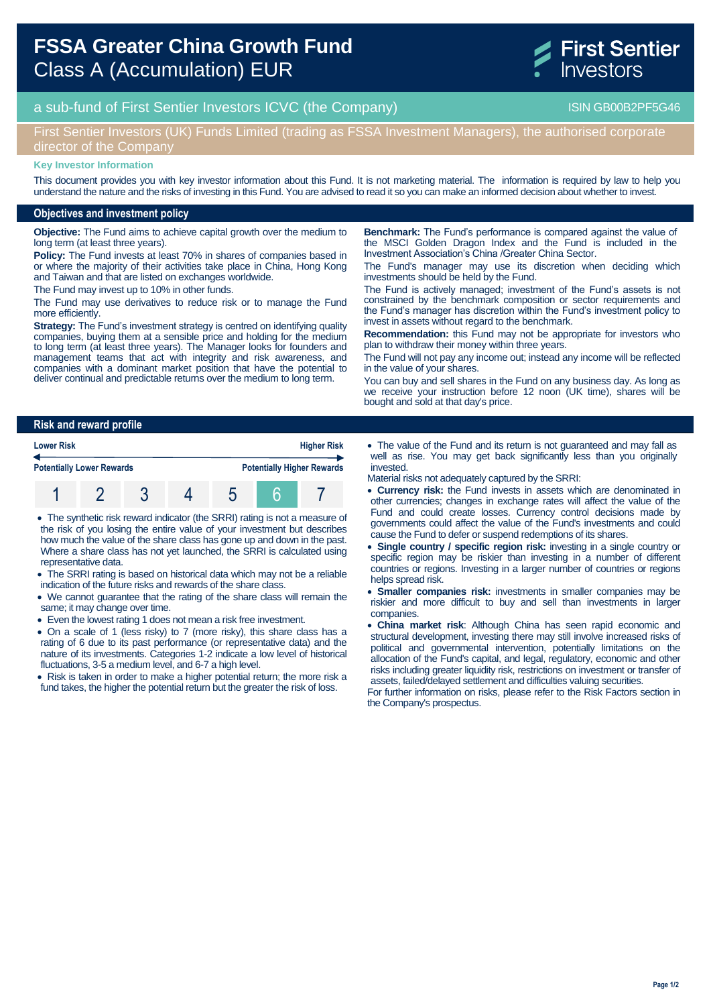

# a sub-fund of First Sentier Investors ICVC (the Company) and the Company ISIN GB00B2PF5G46

## First Sentier Investors (UK) Funds Limited (trading as FSSA Investment Managers), the authorised corporate director of the Company

#### **Key Investor Information**

This document provides you with key investor information about this Fund. It is not marketing material. The information is required by law to help you understand the nature and the risks of investing in this Fund. You are advised to read it so you can make an informed decision about whether to invest.

#### **Objectives and investment policy**

**Objective:** The Fund aims to achieve capital growth over the medium to long term (at least three years).

**Policy:** The Fund invests at least 70% in shares of companies based in or where the majority of their activities take place in China, Hong Kong and Taiwan and that are listed on exchanges worldwide.

The Fund may invest up to 10% in other funds.

The Fund may use derivatives to reduce risk or to manage the Fund more efficiently.

**Strategy:** The Fund's investment strategy is centred on identifying quality companies, buying them at a sensible price and holding for the medium to long term (at least three years). The Manager looks for founders and management teams that act with integrity and risk awareness, and companies with a dominant market position that have the potential to deliver continual and predictable returns over the medium to long term.

**Benchmark:** The Fund's performance is compared against the value of the MSCI Golden Dragon Index and the Fund is included in the Investment Association's China /Greater China Sector.

The Fund's manager may use its discretion when deciding which investments should be held by the Fund.

The Fund is actively managed; investment of the Fund's assets is not constrained by the benchmark composition or sector requirements and the Fund's manager has discretion within the Fund's investment policy to invest in assets without regard to the benchmark.

**Recommendation:** this Fund may not be appropriate for investors who plan to withdraw their money within three years.

The Fund will not pay any income out; instead any income will be reflected in the value of your shares.

You can buy and sell shares in the Fund on any business day. As long as we receive your instruction before 12 noon (UK time), shares will be bought and sold at that day's price.

#### **Risk and reward profile**

| <b>Lower Risk</b><br><b>Potentially Lower Rewards</b> |  |  |  | <b>Higher Risk</b> |                                   |  |
|-------------------------------------------------------|--|--|--|--------------------|-----------------------------------|--|
|                                                       |  |  |  |                    | <b>Potentially Higher Rewards</b> |  |
|                                                       |  |  |  |                    |                                   |  |

 The synthetic risk reward indicator (the SRRI) rating is not a measure of the risk of you losing the entire value of your investment but describes how much the value of the share class has gone up and down in the past. Where a share class has not yet launched, the SRRI is calculated using representative data.

- The SRRI rating is based on historical data which may not be a reliable indication of the future risks and rewards of the share class.
- We cannot guarantee that the rating of the share class will remain the same; it may change over time.
- Even the lowest rating 1 does not mean a risk free investment.

 On a scale of 1 (less risky) to 7 (more risky), this share class has a rating of 6 due to its past performance (or representative data) and the nature of its investments. Categories 1-2 indicate a low level of historical fluctuations, 3-5 a medium level, and 6-7 a high level.

• Risk is taken in order to make a higher potential return; the more risk a fund takes, the higher the potential return but the greater the risk of loss.

 The value of the Fund and its return is not guaranteed and may fall as well as rise. You may get back significantly less than you originally invested.

Material risks not adequately captured by the SRRI:

- **Currency risk:** the Fund invests in assets which are denominated in other currencies; changes in exchange rates will affect the value of the Fund and could create losses. Currency control decisions made by governments could affect the value of the Fund's investments and could cause the Fund to defer or suspend redemptions of its shares.
- **Single country / specific region risk:** investing in a single country or specific region may be riskier than investing in a number of different countries or regions. Investing in a larger number of countries or regions helps spread risk.
- **Smaller companies risk:** investments in smaller companies may be riskier and more difficult to buy and sell than investments in larger companies.
- **China market risk**: Although China has seen rapid economic and structural development, investing there may still involve increased risks of political and governmental intervention, potentially limitations on the allocation of the Fund's capital, and legal, regulatory, economic and other risks including greater liquidity risk, restrictions on investment or transfer of assets, failed/delayed settlement and difficulties valuing securities.

For further information on risks, please refer to the Risk Factors section in the Company's prospectus.